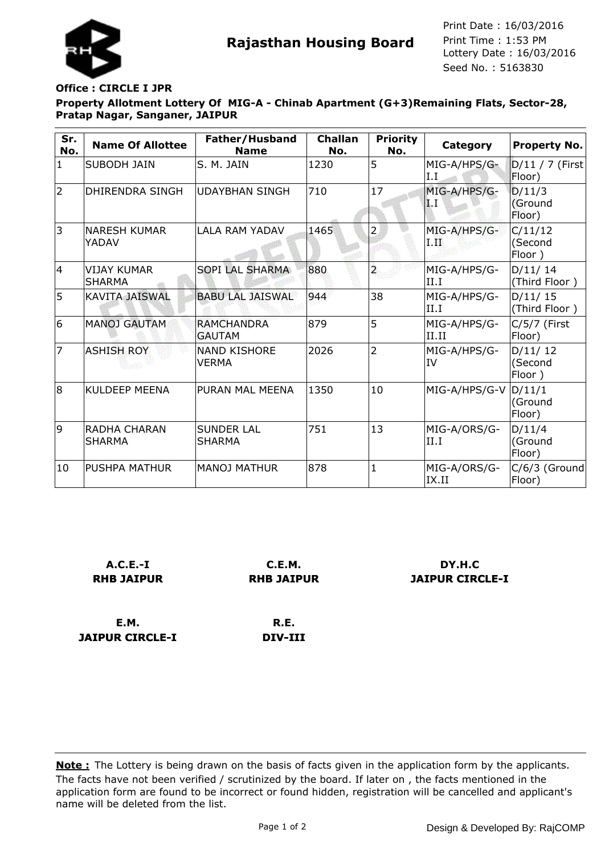

**Rajasthan Housing Board** Print Time : 1:53 PM<br>Lottery Date : 16/03/2016 Seed No. : 5163830 Print Date : 16/03/2016 Print Time : 1:53 PM

## **Office : CIRCLE I JPR**

**Property Allotment Lottery Of MIG-A - Chinab Apartment (G+3)Remaining Flats, Sector-28, Pratap Nagar, Sanganer, JAIPUR**

| Sr.<br>No.      | <b>Name Of Allottee</b>              | Father/Husband<br><b>Name</b>       | <b>Challan</b><br>No. | <b>Priority</b><br>No. | Category                                | Property No.                 |
|-----------------|--------------------------------------|-------------------------------------|-----------------------|------------------------|-----------------------------------------|------------------------------|
| $\mathbf{1}$    | <b>SUBODH JAIN</b>                   | S. M. JAIN                          | 1230                  | 5                      | MIG-A/HPS/G-<br>I.I                     | D/11 / 7 (First)<br>Floor)   |
| $\overline{2}$  | DHIRENDRA SINGH                      | <b>UDAYBHAN SINGH</b>               | 710                   | 17                     | MIG-A/HPS/G-<br>$\mathbf{I}.\mathbf{I}$ | D/11/3<br>(Ground<br>Floor)  |
| 3               | <b>NARESH KUMAR</b><br>YADAV         | <b>LALA RAM YADAV</b>               | 1465                  | $\overline{2}$         | MIG-A/HPS/G-<br>LЩ                      | C/11/12<br>(Second<br>Floor) |
| 4               | <b>VIJAY KUMAR</b><br><b>SHARMA</b>  | SOPI LAL SHARMA                     | 880                   | $\overline{a}$         | MIG-A/HPS/G-<br>II.I                    | D/11/14<br>(Third Floor)     |
| 5               | <b>KAVITA JAISWAL</b>                | <b>BABU LAL JAISWAL</b>             | 944                   | 38                     | MIG-A/HPS/G-<br>II.I                    | D/11/15<br>(Third Floor)     |
| $6\overline{6}$ | <b>MANOJ GAUTAM</b>                  | <b>RAMCHANDRA</b><br><b>GAUTAM</b>  | 879                   | 5                      | MIG-A/HPS/G-<br>II.II                   | $C/5/7$ (First<br>Floor)     |
| 7               | <b>ASHISH ROY</b>                    | <b>NAND KISHORE</b><br><b>VERMA</b> | 2026                  | $\overline{2}$         | MIG-A/HPS/G-<br>IV                      | D/11/12<br>(Second<br>Floor) |
| 8               | KULDEEP MEENA                        | PURAN MAL MEENA                     | 1350                  | 10                     | MIG-A/HPS/G-V                           | D/11/1<br>(Ground<br>Floor)  |
| 9               | <b>RADHA CHARAN</b><br><b>SHARMA</b> | <b>SUNDER LAL</b><br><b>SHARMA</b>  | 751                   | 13                     | MIG-A/ORS/G-<br>II.I                    | D/11/4<br>(Ground<br>Floor)  |
| 10              | IPUSHPA MATHUR                       | <b>MANOJ MATHUR</b>                 | 878                   |                        | MIG-A/ORS/G-<br>IX.II                   | C/6/3 (Ground<br>Floor)      |

| $A.C.E.-I$        | <b>C.E.M.</b>     |
|-------------------|-------------------|
| <b>RHB JAIPUR</b> | <b>RHB JAIPUR</b> |
|                   |                   |

**E.M. JAIPUR CIRCLE-I**

**R.E. DIV-III**

**DY.H.C JAIPUR CIRCLE-I**